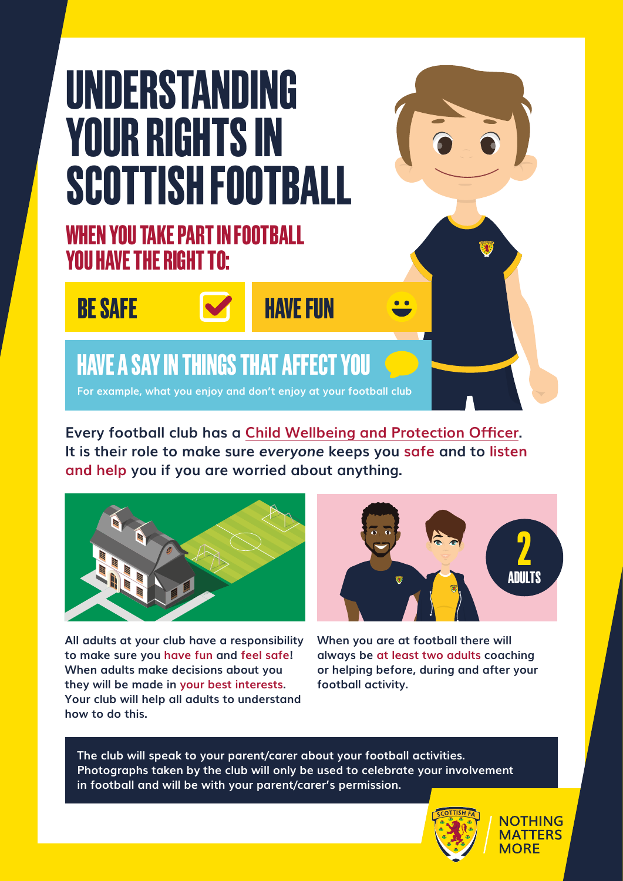# **UNDERSTANDING YOUR RIGHTS IN SCOTTISH FOOTBALL**

### **WHEN YOU TAKE PART IN FOOTBALL YOU HAVE THE RIGHT TO:**





### **BE SAFE METALLY FIND BE SAFE**

## **HAVE A SAY IN THINGS THAT AFFECT YOU**

**For example, what you enjoy and don't enjoy at your football club**

**Every football club has a Child Wellbeing and Protection Officer. It is their role to make sure** *everyone* **keeps you safe and to listen and help you if you are worried about anything.** 



**All adults at your club have a responsibility to make sure you have fun and feel safe! When adults make decisions about you they will be made in your best interests. Your club will help all adults to understand how to do this.** 



**When you are at football there will always be at least two adults coaching or helping before, during and after your football activity.**

**The club will speak to your parent/carer about your football activities. Photographs taken by the club will only be used to celebrate your involvement in football and will be with your parent/carer's permission.**



**NOTHING MATTERS MORF**